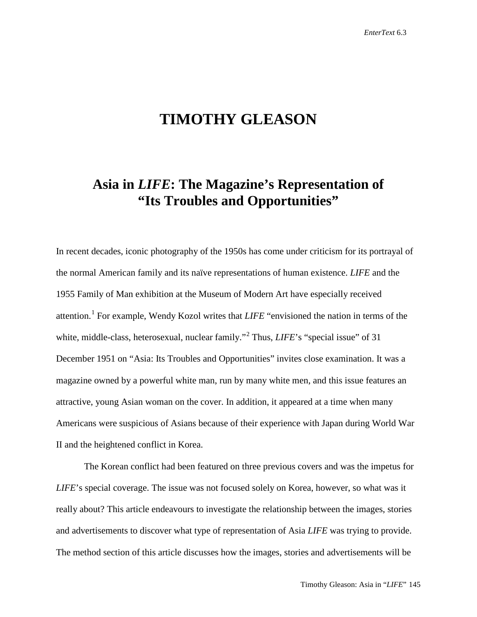# **TIMOTHY GLEASON**

## **Asia in** *LIFE***: The Magazine's Representation of "Its Troubles and Opportunities"**

In recent decades, iconic photography of the 1950s has come under criticism for its portrayal of the normal American family and its naïve representations of human existence. *LIFE* and the 1955 Family of Man exhibition at the Museum of Modern Art have especially received attention.[1](#page-22-0) For example, Wendy Kozol writes that *LIFE* "envisioned the nation in terms of the white, middle-class, heterosexual, nuclear family."<sup>[2](#page-22-1)</sup> Thus, *LIFE*'s "special issue" of 31 December 1951 on "Asia: Its Troubles and Opportunities" invites close examination. It was a magazine owned by a powerful white man, run by many white men, and this issue features an attractive, young Asian woman on the cover. In addition, it appeared at a time when many Americans were suspicious of Asians because of their experience with Japan during World War II and the heightened conflict in Korea.

The Korean conflict had been featured on three previous covers and was the impetus for *LIFE*'s special coverage. The issue was not focused solely on Korea, however, so what was it really about? This article endeavours to investigate the relationship between the images, stories and advertisements to discover what type of representation of Asia *LIFE* was trying to provide. The method section of this article discusses how the images, stories and advertisements will be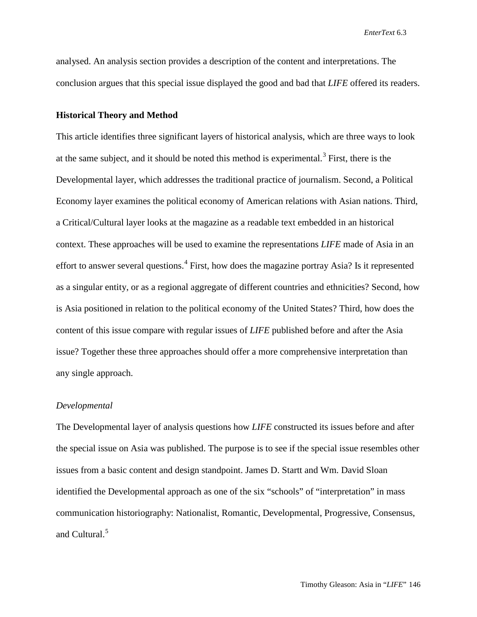analysed. An analysis section provides a description of the content and interpretations. The conclusion argues that this special issue displayed the good and bad that *LIFE* offered its readers.

#### **Historical Theory and Method**

This article identifies three significant layers of historical analysis, which are three ways to look at the same subject, and it should be noted this method is experimental.<sup>[3](#page-22-2)</sup> First, there is the Developmental layer, which addresses the traditional practice of journalism. Second, a Political Economy layer examines the political economy of American relations with Asian nations. Third, a Critical/Cultural layer looks at the magazine as a readable text embedded in an historical context. These approaches will be used to examine the representations *LIFE* made of Asia in an effort to answer several questions.<sup>[4](#page-22-3)</sup> First, how does the magazine portray Asia? Is it represented as a singular entity, or as a regional aggregate of different countries and ethnicities? Second, how is Asia positioned in relation to the political economy of the United States? Third, how does the content of this issue compare with regular issues of *LIFE* published before and after the Asia issue? Together these three approaches should offer a more comprehensive interpretation than any single approach.

#### *Developmental*

The Developmental layer of analysis questions how *LIFE* constructed its issues before and after the special issue on Asia was published. The purpose is to see if the special issue resembles other issues from a basic content and design standpoint. James D. Startt and Wm. David Sloan identified the Developmental approach as one of the six "schools" of "interpretation" in mass communication historiography: Nationalist, Romantic, Developmental, Progressive, Consensus, and Cultural.<sup>[5](#page-22-4)</sup>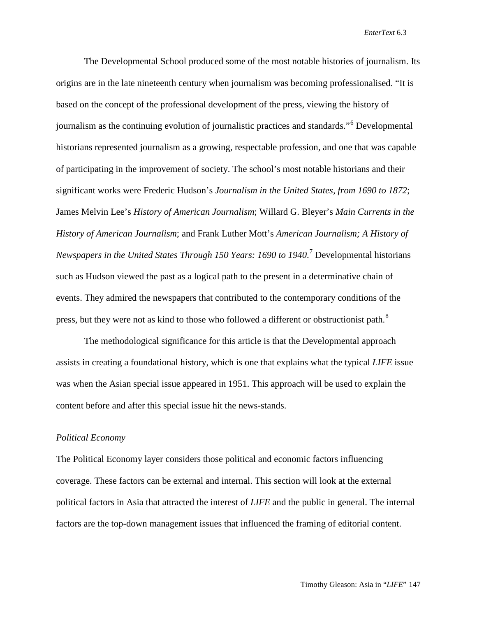The Developmental School produced some of the most notable histories of journalism. Its origins are in the late nineteenth century when journalism was becoming professionalised. "It is based on the concept of the professional development of the press, viewing the history of journalism as the continuing evolution of journalistic practices and standards."[6](#page-22-5) Developmental historians represented journalism as a growing, respectable profession, and one that was capable of participating in the improvement of society. The school's most notable historians and their significant works were Frederic Hudson's *Journalism in the United States, from 1690 to 1872*; James Melvin Lee's *History of American Journalism*; Willard G. Bleyer's *Main Currents in the History of American Journalism*; and Frank Luther Mott's *American Journalism; A History of Newspapers in the United States Through 150 Years: 1690 to 1940*. [7](#page-22-6) Developmental historians such as Hudson viewed the past as a logical path to the present in a determinative chain of events. They admired the newspapers that contributed to the contemporary conditions of the press, but they were not as kind to those who followed a different or obstructionist path.<sup>[8](#page-22-7)</sup>

The methodological significance for this article is that the Developmental approach assists in creating a foundational history, which is one that explains what the typical *LIFE* issue was when the Asian special issue appeared in 1951. This approach will be used to explain the content before and after this special issue hit the news-stands.

#### *Political Economy*

The Political Economy layer considers those political and economic factors influencing coverage. These factors can be external and internal. This section will look at the external political factors in Asia that attracted the interest of *LIFE* and the public in general. The internal factors are the top-down management issues that influenced the framing of editorial content.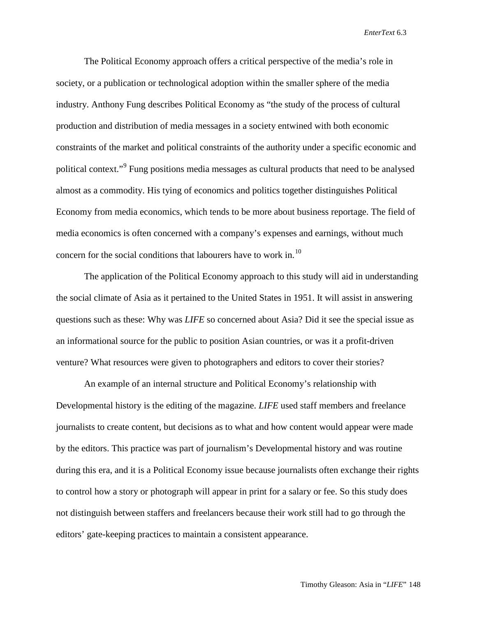The Political Economy approach offers a critical perspective of the media's role in society, or a publication or technological adoption within the smaller sphere of the media industry. Anthony Fung describes Political Economy as "the study of the process of cultural production and distribution of media messages in a society entwined with both economic constraints of the market and political constraints of the authority under a specific economic and political context."[9](#page-22-8) Fung positions media messages as cultural products that need to be analysed almost as a commodity. His tying of economics and politics together distinguishes Political Economy from media economics, which tends to be more about business reportage. The field of media economics is often concerned with a company's expenses and earnings, without much concern for the social conditions that labourers have to work in.<sup>[10](#page-22-9)</sup>

The application of the Political Economy approach to this study will aid in understanding the social climate of Asia as it pertained to the United States in 1951. It will assist in answering questions such as these: Why was *LIFE* so concerned about Asia? Did it see the special issue as an informational source for the public to position Asian countries, or was it a profit-driven venture? What resources were given to photographers and editors to cover their stories?

An example of an internal structure and Political Economy's relationship with Developmental history is the editing of the magazine. *LIFE* used staff members and freelance journalists to create content, but decisions as to what and how content would appear were made by the editors. This practice was part of journalism's Developmental history and was routine during this era, and it is a Political Economy issue because journalists often exchange their rights to control how a story or photograph will appear in print for a salary or fee. So this study does not distinguish between staffers and freelancers because their work still had to go through the editors' gate-keeping practices to maintain a consistent appearance.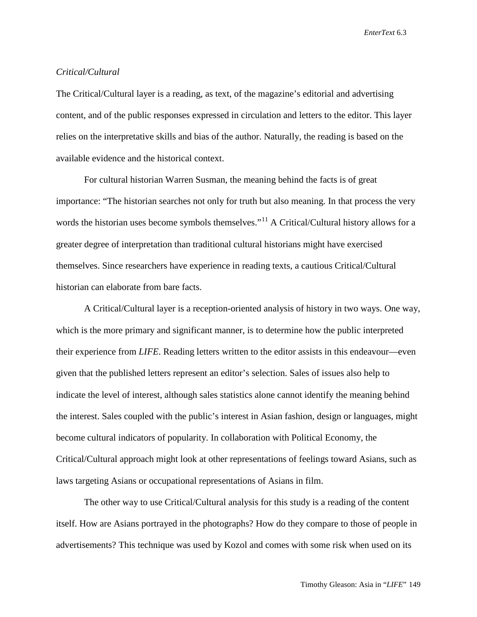### *Critical/Cultural*

The Critical/Cultural layer is a reading, as text, of the magazine's editorial and advertising content, and of the public responses expressed in circulation and letters to the editor. This layer relies on the interpretative skills and bias of the author. Naturally, the reading is based on the available evidence and the historical context.

For cultural historian Warren Susman, the meaning behind the facts is of great importance: "The historian searches not only for truth but also meaning. In that process the very words the historian uses become symbols themselves."<sup>[11](#page-22-10)</sup> A Critical/Cultural history allows for a greater degree of interpretation than traditional cultural historians might have exercised themselves. Since researchers have experience in reading texts, a cautious Critical/Cultural historian can elaborate from bare facts.

A Critical/Cultural layer is a reception-oriented analysis of history in two ways. One way, which is the more primary and significant manner, is to determine how the public interpreted their experience from *LIFE*. Reading letters written to the editor assists in this endeavour—even given that the published letters represent an editor's selection. Sales of issues also help to indicate the level of interest, although sales statistics alone cannot identify the meaning behind the interest. Sales coupled with the public's interest in Asian fashion, design or languages, might become cultural indicators of popularity. In collaboration with Political Economy, the Critical/Cultural approach might look at other representations of feelings toward Asians, such as laws targeting Asians or occupational representations of Asians in film.

The other way to use Critical/Cultural analysis for this study is a reading of the content itself. How are Asians portrayed in the photographs? How do they compare to those of people in advertisements? This technique was used by Kozol and comes with some risk when used on its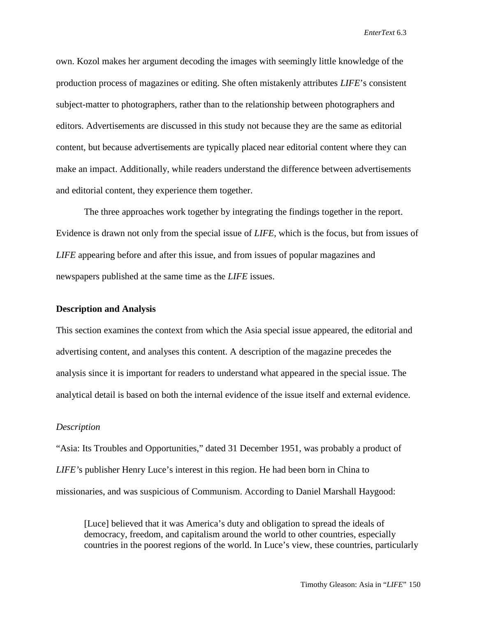own. Kozol makes her argument decoding the images with seemingly little knowledge of the production process of magazines or editing. She often mistakenly attributes *LIFE*'s consistent subject-matter to photographers, rather than to the relationship between photographers and editors. Advertisements are discussed in this study not because they are the same as editorial content, but because advertisements are typically placed near editorial content where they can make an impact. Additionally, while readers understand the difference between advertisements and editorial content, they experience them together.

The three approaches work together by integrating the findings together in the report. Evidence is drawn not only from the special issue of *LIFE*, which is the focus, but from issues of *LIFE* appearing before and after this issue, and from issues of popular magazines and newspapers published at the same time as the *LIFE* issues.

#### **Description and Analysis**

This section examines the context from which the Asia special issue appeared, the editorial and advertising content, and analyses this content. A description of the magazine precedes the analysis since it is important for readers to understand what appeared in the special issue. The analytical detail is based on both the internal evidence of the issue itself and external evidence.

#### *Description*

"Asia: Its Troubles and Opportunities," dated 31 December 1951, was probably a product of *LIFE'*s publisher Henry Luce's interest in this region. He had been born in China to missionaries, and was suspicious of Communism. According to Daniel Marshall Haygood:

[Luce] believed that it was America's duty and obligation to spread the ideals of democracy, freedom, and capitalism around the world to other countries, especially countries in the poorest regions of the world. In Luce's view, these countries, particularly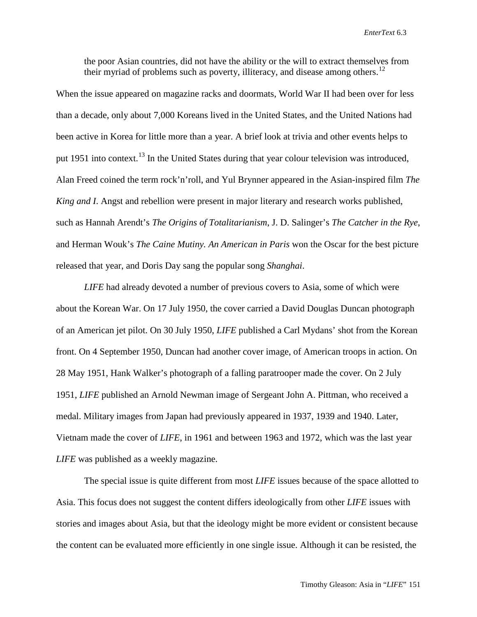the poor Asian countries, did not have the ability or the will to extract themselves from their myriad of problems such as poverty, illiteracy, and disease among others.<sup>[12](#page-22-11)</sup>

When the issue appeared on magazine racks and doormats, World War II had been over for less than a decade, only about 7,000 Koreans lived in the United States, and the United Nations had been active in Korea for little more than a year. A brief look at trivia and other events helps to put 1951 into context.<sup>[13](#page-22-12)</sup> In the United States during that year colour television was introduced, Alan Freed coined the term rock'n'roll, and Yul Brynner appeared in the Asian-inspired film *The King and I*. Angst and rebellion were present in major literary and research works published, such as Hannah Arendt's *The Origins of Totalitarianism*, J. D. Salinger's *The Catcher in the Rye*, and Herman Wouk's *The Caine Mutiny. An American in Paris* won the Oscar for the best picture released that year, and Doris Day sang the popular song *Shanghai*.

*LIFE* had already devoted a number of previous covers to Asia, some of which were about the Korean War. On 17 July 1950, the cover carried a David Douglas Duncan photograph of an American jet pilot. On 30 July 1950, *LIFE* published a Carl Mydans' shot from the Korean front. On 4 September 1950, Duncan had another cover image, of American troops in action. On 28 May 1951, Hank Walker's photograph of a falling paratrooper made the cover. On 2 July 1951, *LIFE* published an Arnold Newman image of Sergeant John A. Pittman, who received a medal. Military images from Japan had previously appeared in 1937, 1939 and 1940. Later, Vietnam made the cover of *LIFE*, in 1961 and between 1963 and 1972, which was the last year *LIFE* was published as a weekly magazine.

The special issue is quite different from most *LIFE* issues because of the space allotted to Asia. This focus does not suggest the content differs ideologically from other *LIFE* issues with stories and images about Asia, but that the ideology might be more evident or consistent because the content can be evaluated more efficiently in one single issue. Although it can be resisted, the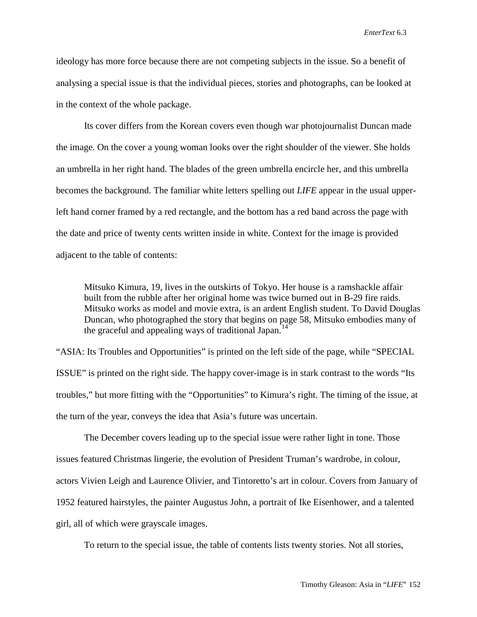ideology has more force because there are not competing subjects in the issue. So a benefit of analysing a special issue is that the individual pieces, stories and photographs, can be looked at in the context of the whole package.

Its cover differs from the Korean covers even though war photojournalist Duncan made the image. On the cover a young woman looks over the right shoulder of the viewer. She holds an umbrella in her right hand. The blades of the green umbrella encircle her, and this umbrella becomes the background. The familiar white letters spelling out *LIFE* appear in the usual upperleft hand corner framed by a red rectangle, and the bottom has a red band across the page with the date and price of twenty cents written inside in white. Context for the image is provided adjacent to the table of contents:

Mitsuko Kimura, 19, lives in the outskirts of Tokyo. Her house is a ramshackle affair built from the rubble after her original home was twice burned out in B-29 fire raids. Mitsuko works as model and movie extra, is an ardent English student. To David Douglas Duncan, who photographed the story that begins on page 58, Mitsuko embodies many of the graceful and appealing ways of traditional Japan.<sup>[14](#page-22-13)</sup>

"ASIA: Its Troubles and Opportunities" is printed on the left side of the page, while "SPECIAL ISSUE" is printed on the right side. The happy cover-image is in stark contrast to the words "Its troubles," but more fitting with the "Opportunities" to Kimura's right. The timing of the issue, at the turn of the year, conveys the idea that Asia's future was uncertain.

The December covers leading up to the special issue were rather light in tone. Those issues featured Christmas lingerie, the evolution of President Truman's wardrobe, in colour, actors Vivien Leigh and Laurence Olivier, and Tintoretto's art in colour. Covers from January of 1952 featured hairstyles, the painter Augustus John, a portrait of Ike Eisenhower, and a talented girl, all of which were grayscale images.

To return to the special issue, the table of contents lists twenty stories. Not all stories,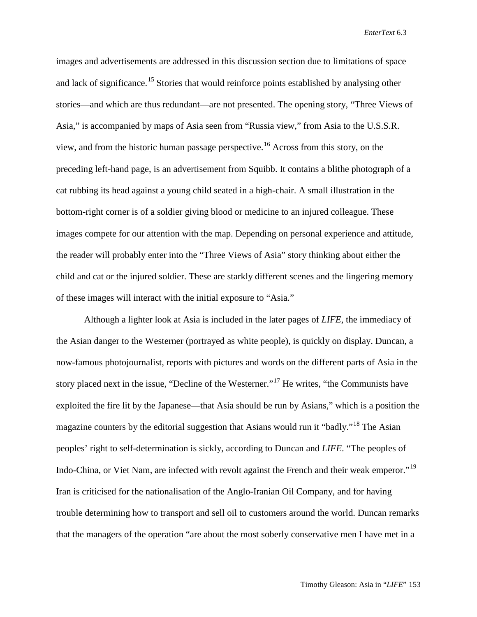images and advertisements are addressed in this discussion section due to limitations of space and lack of significance.<sup>[15](#page-22-14)</sup> Stories that would reinforce points established by analysing other stories—and which are thus redundant—are not presented. The opening story, "Three Views of Asia," is accompanied by maps of Asia seen from "Russia view," from Asia to the U.S.S.R. view, and from the historic human passage perspective. [16](#page-22-15) Across from this story, on the preceding left-hand page, is an advertisement from Squibb. It contains a blithe photograph of a cat rubbing its head against a young child seated in a high-chair. A small illustration in the bottom-right corner is of a soldier giving blood or medicine to an injured colleague. These images compete for our attention with the map. Depending on personal experience and attitude, the reader will probably enter into the "Three Views of Asia" story thinking about either the child and cat or the injured soldier. These are starkly different scenes and the lingering memory of these images will interact with the initial exposure to "Asia."

Although a lighter look at Asia is included in the later pages of *LIFE*, the immediacy of the Asian danger to the Westerner (portrayed as white people), is quickly on display. Duncan, a now-famous photojournalist, reports with pictures and words on the different parts of Asia in the story placed next in the issue, "Decline of the Westerner."[17](#page-22-16) He writes, "the Communists have exploited the fire lit by the Japanese—that Asia should be run by Asians," which is a position the magazine counters by the editorial suggestion that Asians would run it "badly."<sup>[18](#page-22-17)</sup> The Asian peoples' right to self-determination is sickly, according to Duncan and *LIFE*. "The peoples of Indo-China, or Viet Nam, are infected with revolt against the French and their weak emperor."[19](#page-22-18) Iran is criticised for the nationalisation of the Anglo-Iranian Oil Company, and for having trouble determining how to transport and sell oil to customers around the world. Duncan remarks that the managers of the operation "are about the most soberly conservative men I have met in a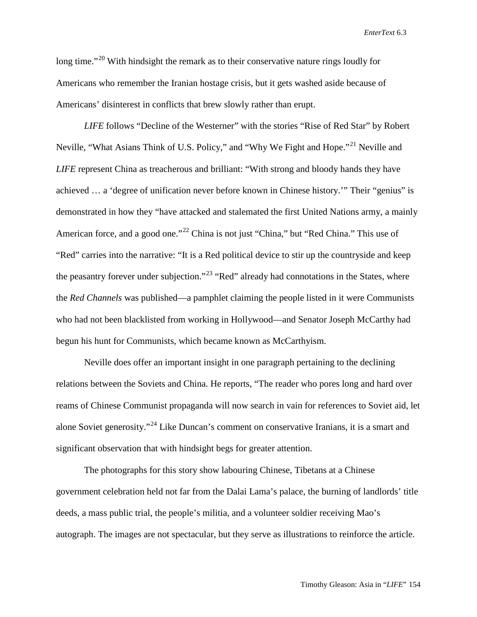long time."<sup>[20](#page-22-19)</sup> With hindsight the remark as to their conservative nature rings loudly for Americans who remember the Iranian hostage crisis, but it gets washed aside because of Americans' disinterest in conflicts that brew slowly rather than erupt.

*LIFE* follows "Decline of the Westerner" with the stories "Rise of Red Star" by Robert Neville, "What Asians Think of U.S. Policy," and "Why We Fight and Hope."<sup>[21](#page-22-20)</sup> Neville and *LIFE* represent China as treacherous and brilliant: "With strong and bloody hands they have achieved … a 'degree of unification never before known in Chinese history.'" Their "genius" is demonstrated in how they "have attacked and stalemated the first United Nations army, a mainly American force, and a good one."<sup>[22](#page-22-21)</sup> China is not just "China," but "Red China." This use of "Red" carries into the narrative: "It is a Red political device to stir up the countryside and keep the peasantry forever under subjection."<sup>[23](#page-22-22)</sup> "Red" already had connotations in the States, where the *Red Channels* was published—a pamphlet claiming the people listed in it were Communists who had not been blacklisted from working in Hollywood—and Senator Joseph McCarthy had begun his hunt for Communists, which became known as McCarthyism.

Neville does offer an important insight in one paragraph pertaining to the declining relations between the Soviets and China. He reports, "The reader who pores long and hard over reams of Chinese Communist propaganda will now search in vain for references to Soviet aid, let alone Soviet generosity."<sup>[24](#page-22-23)</sup> Like Duncan's comment on conservative Iranians, it is a smart and significant observation that with hindsight begs for greater attention.

The photographs for this story show labouring Chinese, Tibetans at a Chinese government celebration held not far from the Dalai Lama's palace, the burning of landlords' title deeds, a mass public trial, the people's militia, and a volunteer soldier receiving Mao's autograph. The images are not spectacular, but they serve as illustrations to reinforce the article.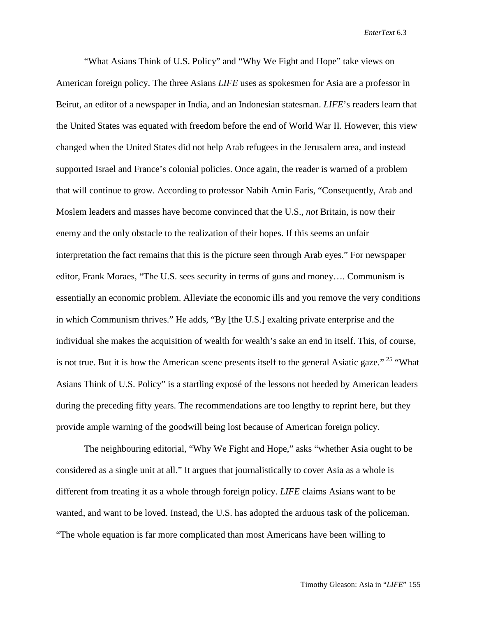"What Asians Think of U.S. Policy" and "Why We Fight and Hope" take views on American foreign policy. The three Asians *LIFE* uses as spokesmen for Asia are a professor in Beirut, an editor of a newspaper in India, and an Indonesian statesman. *LIFE*'s readers learn that the United States was equated with freedom before the end of World War II. However, this view changed when the United States did not help Arab refugees in the Jerusalem area, and instead supported Israel and France's colonial policies. Once again, the reader is warned of a problem that will continue to grow. According to professor Nabih Amin Faris, "Consequently, Arab and Moslem leaders and masses have become convinced that the U.S., *not* Britain, is now their enemy and the only obstacle to the realization of their hopes. If this seems an unfair interpretation the fact remains that this is the picture seen through Arab eyes." For newspaper editor, Frank Moraes, "The U.S. sees security in terms of guns and money…. Communism is essentially an economic problem. Alleviate the economic ills and you remove the very conditions in which Communism thrives." He adds, "By [the U.S.] exalting private enterprise and the individual she makes the acquisition of wealth for wealth's sake an end in itself. This, of course, is not true. But it is how the American scene presents itself to the general Asiatic gaze." <sup>[25](#page-22-24)</sup> "What Asians Think of U.S. Policy" is a startling exposé of the lessons not heeded by American leaders during the preceding fifty years. The recommendations are too lengthy to reprint here, but they provide ample warning of the goodwill being lost because of American foreign policy.

The neighbouring editorial, "Why We Fight and Hope," asks "whether Asia ought to be considered as a single unit at all." It argues that journalistically to cover Asia as a whole is different from treating it as a whole through foreign policy. *LIFE* claims Asians want to be wanted, and want to be loved. Instead, the U.S. has adopted the arduous task of the policeman. "The whole equation is far more complicated than most Americans have been willing to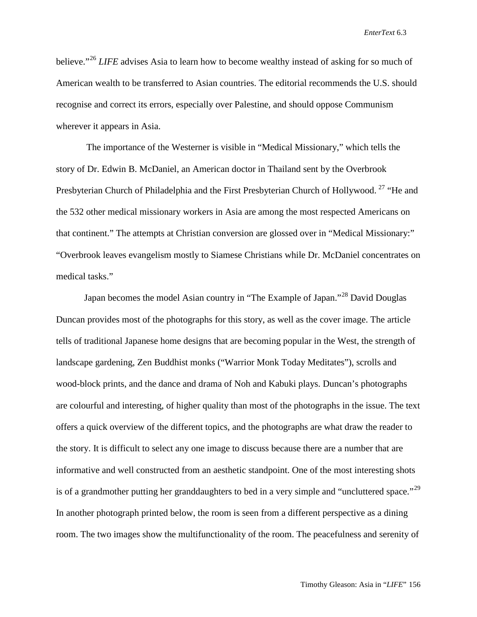believe."<sup>[26](#page-22-25)</sup> *LIFE* advises Asia to learn how to become wealthy instead of asking for so much of American wealth to be transferred to Asian countries. The editorial recommends the U.S. should recognise and correct its errors, especially over Palestine, and should oppose Communism wherever it appears in Asia.

The importance of the Westerner is visible in "Medical Missionary," which tells the story of Dr. Edwin B. McDaniel, an American doctor in Thailand sent by the Overbrook Presbyterian Church of Philadelphia and the First Presbyterian Church of Hollywood.<sup>[27](#page-22-26)</sup> "He and the 532 other medical missionary workers in Asia are among the most respected Americans on that continent." The attempts at Christian conversion are glossed over in "Medical Missionary:" "Overbrook leaves evangelism mostly to Siamese Christians while Dr. McDaniel concentrates on medical tasks."

Japan becomes the model Asian country in "The Example of Japan."<sup>[28](#page-22-27)</sup> David Douglas Duncan provides most of the photographs for this story, as well as the cover image. The article tells of traditional Japanese home designs that are becoming popular in the West, the strength of landscape gardening, Zen Buddhist monks ("Warrior Monk Today Meditates"), scrolls and wood-block prints, and the dance and drama of Noh and Kabuki plays. Duncan's photographs are colourful and interesting, of higher quality than most of the photographs in the issue. The text offers a quick overview of the different topics, and the photographs are what draw the reader to the story. It is difficult to select any one image to discuss because there are a number that are informative and well constructed from an aesthetic standpoint. One of the most interesting shots is of a grandmother putting her granddaughters to bed in a very simple and "uncluttered space."<sup>[29](#page-22-28)</sup> In another photograph printed below, the room is seen from a different perspective as a dining room. The two images show the multifunctionality of the room. The peacefulness and serenity of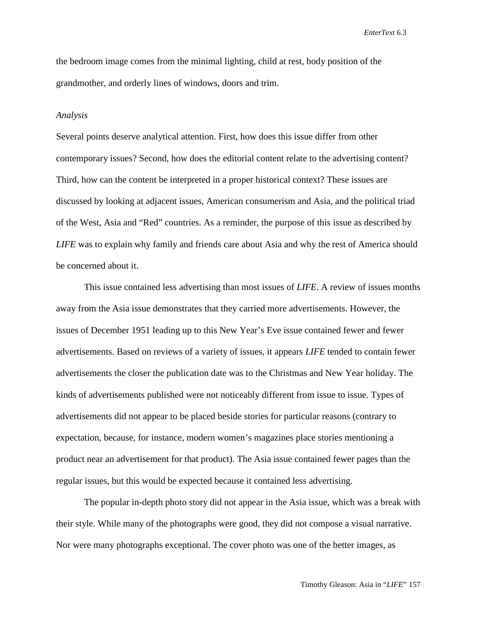the bedroom image comes from the minimal lighting, child at rest, body position of the grandmother, and orderly lines of windows, doors and trim.

#### *Analysis*

Several points deserve analytical attention. First, how does this issue differ from other contemporary issues? Second, how does the editorial content relate to the advertising content? Third, how can the content be interpreted in a proper historical context? These issues are discussed by looking at adjacent issues, American consumerism and Asia, and the political triad of the West, Asia and "Red" countries. As a reminder, the purpose of this issue as described by *LIFE* was to explain why family and friends care about Asia and why the rest of America should be concerned about it.

This issue contained less advertising than most issues of *LIFE*. A review of issues months away from the Asia issue demonstrates that they carried more advertisements. However, the issues of December 1951 leading up to this New Year's Eve issue contained fewer and fewer advertisements. Based on reviews of a variety of issues, it appears *LIFE* tended to contain fewer advertisements the closer the publication date was to the Christmas and New Year holiday. The kinds of advertisements published were not noticeably different from issue to issue. Types of advertisements did not appear to be placed beside stories for particular reasons (contrary to expectation, because, for instance, modern women's magazines place stories mentioning a product near an advertisement for that product). The Asia issue contained fewer pages than the regular issues, but this would be expected because it contained less advertising.

The popular in-depth photo story did not appear in the Asia issue, which was a break with their style. While many of the photographs were good, they did not compose a visual narrative. Nor were many photographs exceptional. The cover photo was one of the better images, as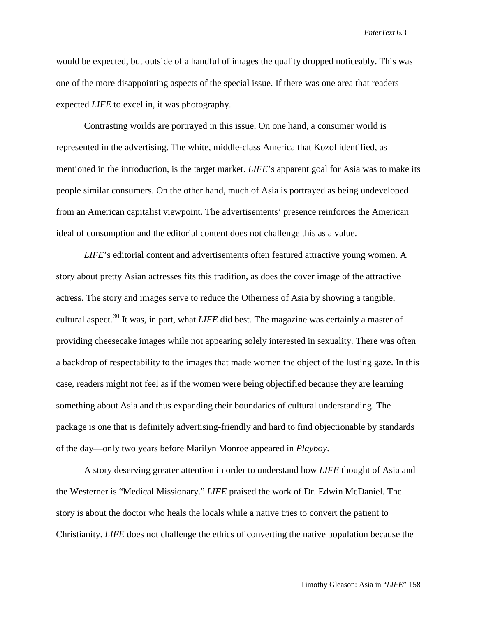would be expected, but outside of a handful of images the quality dropped noticeably. This was one of the more disappointing aspects of the special issue. If there was one area that readers expected *LIFE* to excel in, it was photography.

Contrasting worlds are portrayed in this issue. On one hand, a consumer world is represented in the advertising. The white, middle-class America that Kozol identified, as mentioned in the introduction, is the target market. *LIFE*'s apparent goal for Asia was to make its people similar consumers. On the other hand, much of Asia is portrayed as being undeveloped from an American capitalist viewpoint. The advertisements' presence reinforces the American ideal of consumption and the editorial content does not challenge this as a value.

*LIFE*'s editorial content and advertisements often featured attractive young women. A story about pretty Asian actresses fits this tradition, as does the cover image of the attractive actress. The story and images serve to reduce the Otherness of Asia by showing a tangible, cultural aspect.<sup>[30](#page-22-29)</sup> It was, in part, what *LIFE* did best. The magazine was certainly a master of providing cheesecake images while not appearing solely interested in sexuality. There was often a backdrop of respectability to the images that made women the object of the lusting gaze. In this case, readers might not feel as if the women were being objectified because they are learning something about Asia and thus expanding their boundaries of cultural understanding. The package is one that is definitely advertising-friendly and hard to find objectionable by standards of the day—only two years before Marilyn Monroe appeared in *Playboy*.

A story deserving greater attention in order to understand how *LIFE* thought of Asia and the Westerner is "Medical Missionary." *LIFE* praised the work of Dr. Edwin McDaniel. The story is about the doctor who heals the locals while a native tries to convert the patient to Christianity. *LIFE* does not challenge the ethics of converting the native population because the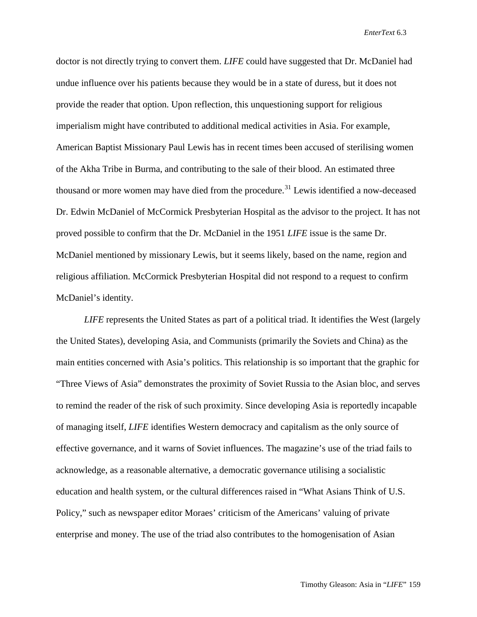doctor is not directly trying to convert them. *LIFE* could have suggested that Dr. McDaniel had undue influence over his patients because they would be in a state of duress, but it does not provide the reader that option. Upon reflection, this unquestioning support for religious imperialism might have contributed to additional medical activities in Asia. For example, American Baptist Missionary Paul Lewis has in recent times been accused of sterilising women of the Akha Tribe in Burma, and contributing to the sale of their blood. An estimated three thousand or more women may have died from the procedure.<sup>[31](#page-22-30)</sup> Lewis identified a now-deceased Dr. Edwin McDaniel of McCormick Presbyterian Hospital as the advisor to the project. It has not proved possible to confirm that the Dr. McDaniel in the 1951 *LIFE* issue is the same Dr. McDaniel mentioned by missionary Lewis, but it seems likely, based on the name, region and religious affiliation. McCormick Presbyterian Hospital did not respond to a request to confirm McDaniel's identity.

*LIFE* represents the United States as part of a political triad. It identifies the West (largely the United States), developing Asia, and Communists (primarily the Soviets and China) as the main entities concerned with Asia's politics. This relationship is so important that the graphic for "Three Views of Asia" demonstrates the proximity of Soviet Russia to the Asian bloc, and serves to remind the reader of the risk of such proximity. Since developing Asia is reportedly incapable of managing itself, *LIFE* identifies Western democracy and capitalism as the only source of effective governance, and it warns of Soviet influences. The magazine's use of the triad fails to acknowledge, as a reasonable alternative, a democratic governance utilising a socialistic education and health system, or the cultural differences raised in "What Asians Think of U.S. Policy," such as newspaper editor Moraes' criticism of the Americans' valuing of private enterprise and money. The use of the triad also contributes to the homogenisation of Asian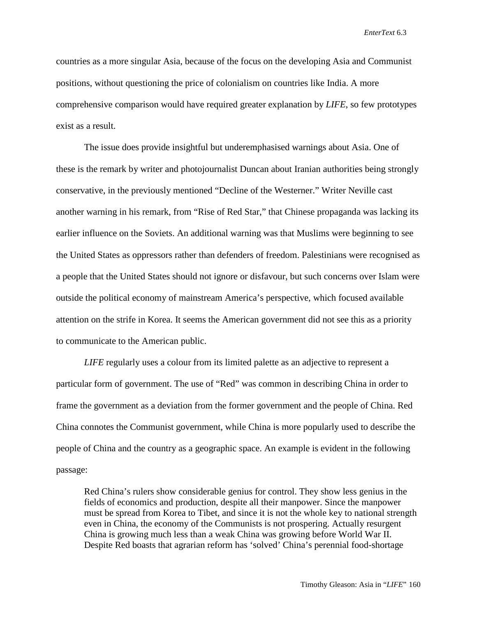countries as a more singular Asia, because of the focus on the developing Asia and Communist positions, without questioning the price of colonialism on countries like India. A more comprehensive comparison would have required greater explanation by *LIFE*, so few prototypes exist as a result.

The issue does provide insightful but underemphasised warnings about Asia. One of these is the remark by writer and photojournalist Duncan about Iranian authorities being strongly conservative, in the previously mentioned "Decline of the Westerner." Writer Neville cast another warning in his remark, from "Rise of Red Star," that Chinese propaganda was lacking its earlier influence on the Soviets. An additional warning was that Muslims were beginning to see the United States as oppressors rather than defenders of freedom. Palestinians were recognised as a people that the United States should not ignore or disfavour, but such concerns over Islam were outside the political economy of mainstream America's perspective, which focused available attention on the strife in Korea. It seems the American government did not see this as a priority to communicate to the American public.

*LIFE* regularly uses a colour from its limited palette as an adjective to represent a particular form of government. The use of "Red" was common in describing China in order to frame the government as a deviation from the former government and the people of China. Red China connotes the Communist government, while China is more popularly used to describe the people of China and the country as a geographic space. An example is evident in the following passage:

Red China's rulers show considerable genius for control. They show less genius in the fields of economics and production, despite all their manpower. Since the manpower must be spread from Korea to Tibet, and since it is not the whole key to national strength even in China, the economy of the Communists is not prospering. Actually resurgent China is growing much less than a weak China was growing before World War II. Despite Red boasts that agrarian reform has 'solved' China's perennial food-shortage

Timothy Gleason: Asia in "*LIFE*" 160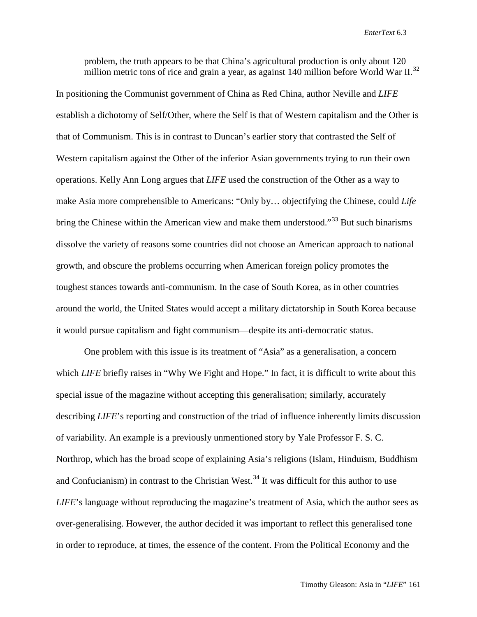problem, the truth appears to be that China's agricultural production is only about 120 million metric tons of rice and grain a year, as against 140 million before World War II.<sup>[32](#page-22-31)</sup>

In positioning the Communist government of China as Red China, author Neville and *LIFE* establish a dichotomy of Self/Other, where the Self is that of Western capitalism and the Other is that of Communism. This is in contrast to Duncan's earlier story that contrasted the Self of Western capitalism against the Other of the inferior Asian governments trying to run their own operations. Kelly Ann Long argues that *LIFE* used the construction of the Other as a way to make Asia more comprehensible to Americans: "Only by… objectifying the Chinese, could *Life* bring the Chinese within the American view and make them understood."<sup>[33](#page-22-32)</sup> But such binarisms dissolve the variety of reasons some countries did not choose an American approach to national growth, and obscure the problems occurring when American foreign policy promotes the toughest stances towards anti-communism. In the case of South Korea, as in other countries around the world, the United States would accept a military dictatorship in South Korea because it would pursue capitalism and fight communism—despite its anti-democratic status.

One problem with this issue is its treatment of "Asia" as a generalisation, a concern which *LIFE* briefly raises in "Why We Fight and Hope." In fact, it is difficult to write about this special issue of the magazine without accepting this generalisation; similarly, accurately describing *LIFE*'s reporting and construction of the triad of influence inherently limits discussion of variability. An example is a previously unmentioned story by Yale Professor F. S. C. Northrop, which has the broad scope of explaining Asia's religions (Islam, Hinduism, Buddhism and Confucianism) in contrast to the Christian West.<sup>[34](#page-22-33)</sup> It was difficult for this author to use *LIFE*'s language without reproducing the magazine's treatment of Asia, which the author sees as over-generalising. However, the author decided it was important to reflect this generalised tone in order to reproduce, at times, the essence of the content. From the Political Economy and the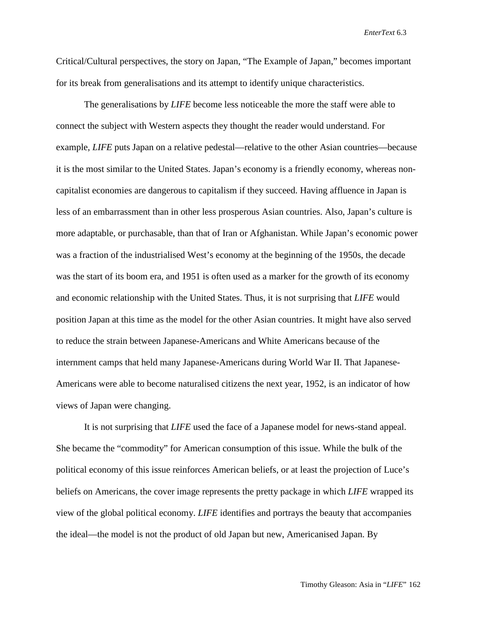Critical/Cultural perspectives, the story on Japan, "The Example of Japan," becomes important for its break from generalisations and its attempt to identify unique characteristics.

The generalisations by *LIFE* become less noticeable the more the staff were able to connect the subject with Western aspects they thought the reader would understand. For example, *LIFE* puts Japan on a relative pedestal—relative to the other Asian countries—because it is the most similar to the United States. Japan's economy is a friendly economy, whereas noncapitalist economies are dangerous to capitalism if they succeed. Having affluence in Japan is less of an embarrassment than in other less prosperous Asian countries. Also, Japan's culture is more adaptable, or purchasable, than that of Iran or Afghanistan. While Japan's economic power was a fraction of the industrialised West's economy at the beginning of the 1950s, the decade was the start of its boom era, and 1951 is often used as a marker for the growth of its economy and economic relationship with the United States. Thus, it is not surprising that *LIFE* would position Japan at this time as the model for the other Asian countries. It might have also served to reduce the strain between Japanese-Americans and White Americans because of the internment camps that held many Japanese-Americans during World War II. That Japanese-Americans were able to become naturalised citizens the next year, 1952, is an indicator of how views of Japan were changing.

It is not surprising that *LIFE* used the face of a Japanese model for news-stand appeal. She became the "commodity" for American consumption of this issue. While the bulk of the political economy of this issue reinforces American beliefs, or at least the projection of Luce's beliefs on Americans, the cover image represents the pretty package in which *LIFE* wrapped its view of the global political economy. *LIFE* identifies and portrays the beauty that accompanies the ideal—the model is not the product of old Japan but new, Americanised Japan. By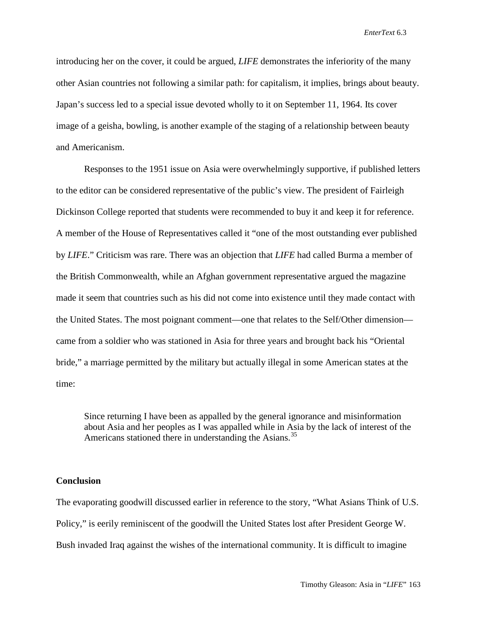introducing her on the cover, it could be argued, *LIFE* demonstrates the inferiority of the many other Asian countries not following a similar path: for capitalism, it implies, brings about beauty. Japan's success led to a special issue devoted wholly to it on September 11, 1964. Its cover image of a geisha, bowling, is another example of the staging of a relationship between beauty and Americanism.

Responses to the 1951 issue on Asia were overwhelmingly supportive, if published letters to the editor can be considered representative of the public's view. The president of Fairleigh Dickinson College reported that students were recommended to buy it and keep it for reference. A member of the House of Representatives called it "one of the most outstanding ever published by *LIFE*." Criticism was rare. There was an objection that *LIFE* had called Burma a member of the British Commonwealth, while an Afghan government representative argued the magazine made it seem that countries such as his did not come into existence until they made contact with the United States. The most poignant comment—one that relates to the Self/Other dimension came from a soldier who was stationed in Asia for three years and brought back his "Oriental bride," a marriage permitted by the military but actually illegal in some American states at the time:

Since returning I have been as appalled by the general ignorance and misinformation about Asia and her peoples as I was appalled while in Asia by the lack of interest of the Americans stationed there in understanding the Asians.<sup>[35](#page-22-34)</sup>

### **Conclusion**

The evaporating goodwill discussed earlier in reference to the story, "What Asians Think of U.S. Policy," is eerily reminiscent of the goodwill the United States lost after President George W. Bush invaded Iraq against the wishes of the international community. It is difficult to imagine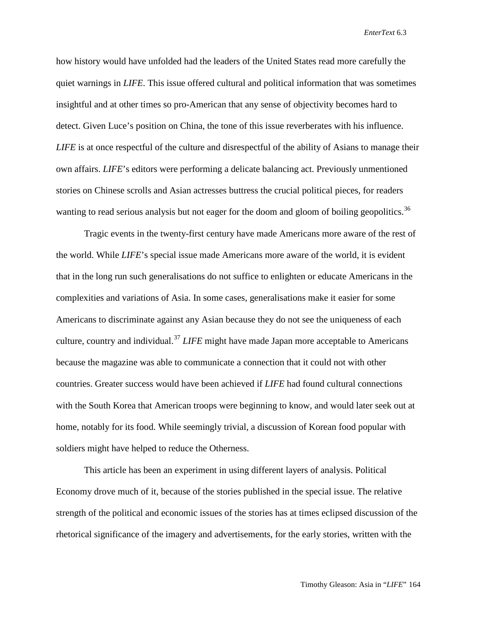how history would have unfolded had the leaders of the United States read more carefully the quiet warnings in *LIFE*. This issue offered cultural and political information that was sometimes insightful and at other times so pro-American that any sense of objectivity becomes hard to detect. Given Luce's position on China, the tone of this issue reverberates with his influence. *LIFE* is at once respectful of the culture and disrespectful of the ability of Asians to manage their own affairs. *LIFE*'s editors were performing a delicate balancing act. Previously unmentioned stories on Chinese scrolls and Asian actresses buttress the crucial political pieces, for readers wanting to read serious analysis but not eager for the doom and gloom of boiling geopolitics.<sup>[36](#page-22-35)</sup>

Tragic events in the twenty-first century have made Americans more aware of the rest of the world. While *LIFE*'s special issue made Americans more aware of the world, it is evident that in the long run such generalisations do not suffice to enlighten or educate Americans in the complexities and variations of Asia. In some cases, generalisations make it easier for some Americans to discriminate against any Asian because they do not see the uniqueness of each culture, country and individual.[37](#page-22-36) *LIFE* might have made Japan more acceptable to Americans because the magazine was able to communicate a connection that it could not with other countries. Greater success would have been achieved if *LIFE* had found cultural connections with the South Korea that American troops were beginning to know, and would later seek out at home, notably for its food. While seemingly trivial, a discussion of Korean food popular with soldiers might have helped to reduce the Otherness.

This article has been an experiment in using different layers of analysis. Political Economy drove much of it, because of the stories published in the special issue. The relative strength of the political and economic issues of the stories has at times eclipsed discussion of the rhetorical significance of the imagery and advertisements, for the early stories, written with the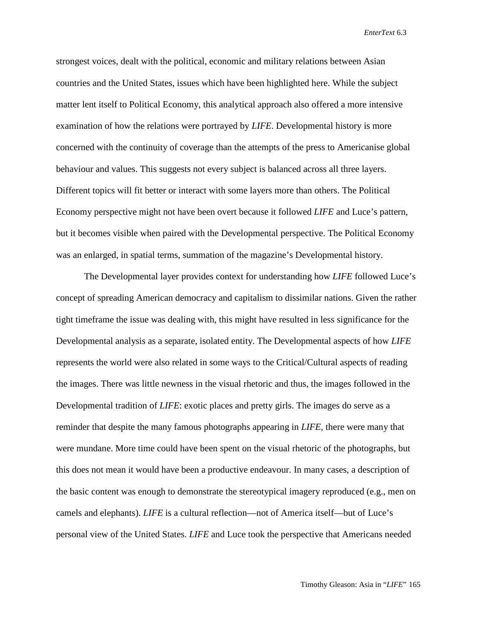strongest voices, dealt with the political, economic and military relations between Asian countries and the United States, issues which have been highlighted here. While the subject matter lent itself to Political Economy, this analytical approach also offered a more intensive examination of how the relations were portrayed by *LIFE*. Developmental history is more concerned with the continuity of coverage than the attempts of the press to Americanise global behaviour and values. This suggests not every subject is balanced across all three layers. Different topics will fit better or interact with some layers more than others. The Political Economy perspective might not have been overt because it followed *LIFE* and Luce's pattern, but it becomes visible when paired with the Developmental perspective. The Political Economy was an enlarged, in spatial terms, summation of the magazine's Developmental history.

The Developmental layer provides context for understanding how *LIFE* followed Luce's concept of spreading American democracy and capitalism to dissimilar nations. Given the rather tight timeframe the issue was dealing with, this might have resulted in less significance for the Developmental analysis as a separate, isolated entity. The Developmental aspects of how *LIFE* represents the world were also related in some ways to the Critical/Cultural aspects of reading the images. There was little newness in the visual rhetoric and thus, the images followed in the Developmental tradition of *LIFE*: exotic places and pretty girls. The images do serve as a reminder that despite the many famous photographs appearing in *LIFE,* there were many that were mundane. More time could have been spent on the visual rhetoric of the photographs, but this does not mean it would have been a productive endeavour. In many cases, a description of the basic content was enough to demonstrate the stereotypical imagery reproduced (e.g., men on camels and elephants). *LIFE* is a cultural reflection—not of America itself—but of Luce's personal view of the United States. *LIFE* and Luce took the perspective that Americans needed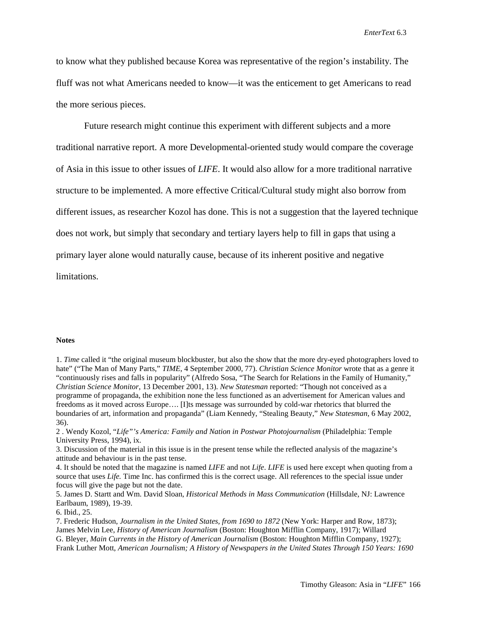to know what they published because Korea was representative of the region's instability. The fluff was not what Americans needed to know—it was the enticement to get Americans to read the more serious pieces.

Future research might continue this experiment with different subjects and a more traditional narrative report. A more Developmental-oriented study would compare the coverage of Asia in this issue to other issues of *LIFE*. It would also allow for a more traditional narrative structure to be implemented. A more effective Critical/Cultural study might also borrow from different issues, as researcher Kozol has done. This is not a suggestion that the layered technique does not work, but simply that secondary and tertiary layers help to fill in gaps that using a primary layer alone would naturally cause, because of its inherent positive and negative limitations.

#### **Notes**

1. *Time* called it "the original museum blockbuster, but also the show that the more dry-eyed photographers loved to hate" ("The Man of Many Parts," *TIME*, 4 September 2000, 77). *Christian Science Monitor* wrote that as a genre it "continuously rises and falls in popularity" (Alfredo Sosa, "The Search for Relations in the Family of Humanity," *Christian Science Monitor*, 13 December 2001, 13). *New Statesman* reported: "Though not conceived as a programme of propaganda, the exhibition none the less functioned as an advertisement for American values and freedoms as it moved across Europe…. [I]ts message was surrounded by cold-war rhetorics that blurred the boundaries of art, information and propaganda" (Liam Kennedy, "Stealing Beauty," *New Statesman*, 6 May 2002, 36).

2 . Wendy Kozol, "*Life"'s America: Family and Nation in Postwar Photojournalism* (Philadelphia: Temple University Press, 1994), ix.

3. Discussion of the material in this issue is in the present tense while the reflected analysis of the magazine's attitude and behaviour is in the past tense.

4. It should be noted that the magazine is named *LIFE* and not *Life*. *LIFE* is used here except when quoting from a source that uses *Life*. Time Inc. has confirmed this is the correct usage. All references to the special issue under focus will give the page but not the date.

5. James D. Startt and Wm. David Sloan, *Historical Methods in Mass Communication* (Hillsdale, NJ: Lawrence Earlbaum, 1989), 19-39.

6. Ibid., 25.

7. Frederic Hudson, *Journalism in the United States, from 1690 to 1872* (New York: Harper and Row, 1873); James Melvin Lee, *History of American Journalism* (Boston: Houghton Mifflin Company, 1917); Willard G. Bleyer, *Main Currents in the History of American Journalism* (Boston: Houghton Mifflin Company, 1927); Frank Luther Mott, *American Journalism; A History of Newspapers in the United States Through 150 Years: 1690*